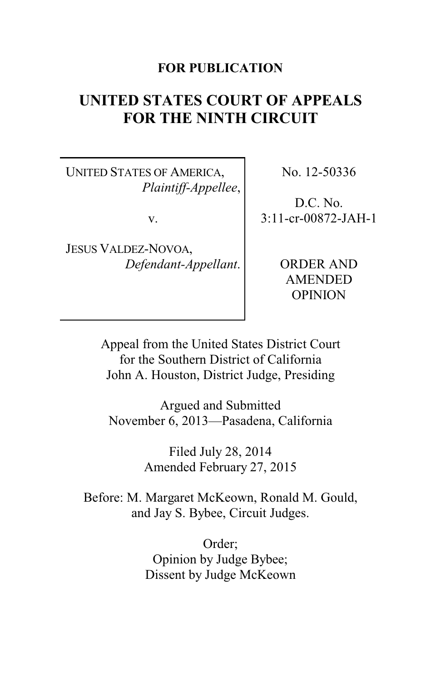# **FOR PUBLICATION**

# **UNITED STATES COURT OF APPEALS FOR THE NINTH CIRCUIT**

UNITED STATES OF AMERICA, *Plaintiff-Appellee*,

v.

JESUS VALDEZ-NOVOA, *Defendant-Appellant*. No. 12-50336

D.C. No. 3:11-cr-00872-JAH-1

> ORDER AND AMENDED OPINION

Appeal from the United States District Court for the Southern District of California John A. Houston, District Judge, Presiding

Argued and Submitted November 6, 2013—Pasadena, California

> Filed July 28, 2014 Amended February 27, 2015

Before: M. Margaret McKeown, Ronald M. Gould, and Jay S. Bybee, Circuit Judges.

> Order; Opinion by Judge Bybee; Dissent by Judge McKeown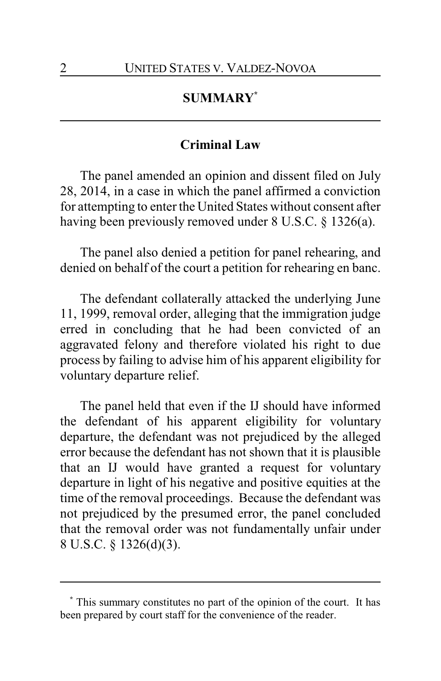# **SUMMARY\***

### **Criminal Law**

The panel amended an opinion and dissent filed on July 28, 2014, in a case in which the panel affirmed a conviction for attempting to enter the United States without consent after having been previously removed under 8 U.S.C. § 1326(a).

The panel also denied a petition for panel rehearing, and denied on behalf of the court a petition for rehearing en banc.

The defendant collaterally attacked the underlying June 11, 1999, removal order, alleging that the immigration judge erred in concluding that he had been convicted of an aggravated felony and therefore violated his right to due process by failing to advise him of his apparent eligibility for voluntary departure relief.

The panel held that even if the IJ should have informed the defendant of his apparent eligibility for voluntary departure, the defendant was not prejudiced by the alleged error because the defendant has not shown that it is plausible that an IJ would have granted a request for voluntary departure in light of his negative and positive equities at the time of the removal proceedings. Because the defendant was not prejudiced by the presumed error, the panel concluded that the removal order was not fundamentally unfair under 8 U.S.C. § 1326(d)(3).

**<sup>\*</sup>** This summary constitutes no part of the opinion of the court. It has been prepared by court staff for the convenience of the reader.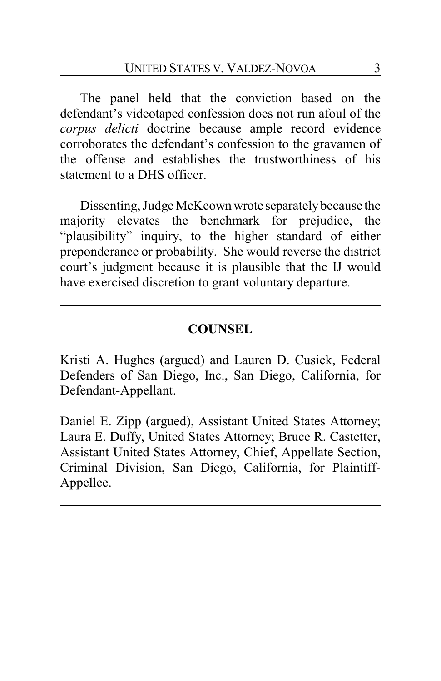The panel held that the conviction based on the defendant's videotaped confession does not run afoul of the *corpus delicti* doctrine because ample record evidence corroborates the defendant's confession to the gravamen of the offense and establishes the trustworthiness of his statement to a DHS officer.

Dissenting, Judge McKeownwrote separatelybecause the majority elevates the benchmark for prejudice, the "plausibility" inquiry, to the higher standard of either preponderance or probability. She would reverse the district court's judgment because it is plausible that the IJ would have exercised discretion to grant voluntary departure.

# **COUNSEL**

Kristi A. Hughes (argued) and Lauren D. Cusick, Federal Defenders of San Diego, Inc., San Diego, California, for Defendant-Appellant.

Daniel E. Zipp (argued), Assistant United States Attorney; Laura E. Duffy, United States Attorney; Bruce R. Castetter, Assistant United States Attorney, Chief, Appellate Section, Criminal Division, San Diego, California, for Plaintiff-Appellee.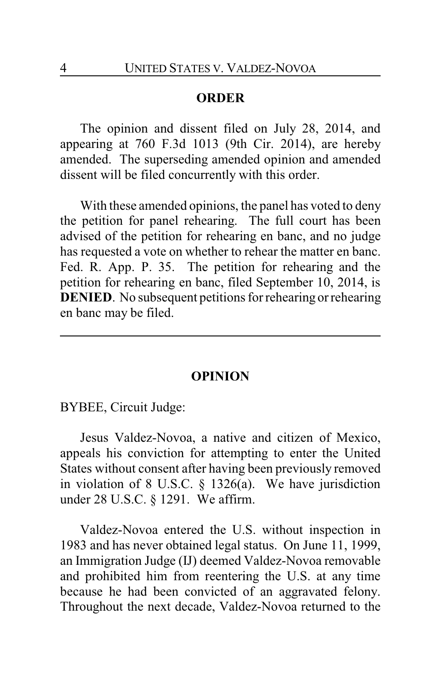### **ORDER**

The opinion and dissent filed on July 28, 2014, and appearing at 760 F.3d 1013 (9th Cir. 2014), are hereby amended. The superseding amended opinion and amended dissent will be filed concurrently with this order.

With these amended opinions, the panel has voted to deny the petition for panel rehearing. The full court has been advised of the petition for rehearing en banc, and no judge has requested a vote on whether to rehear the matter en banc. Fed. R. App. P. 35. The petition for rehearing and the petition for rehearing en banc, filed September 10, 2014, is **DENIED.** No subsequent petitions for rehearing or rehearing en banc may be filed.

### **OPINION**

BYBEE, Circuit Judge:

Jesus Valdez-Novoa, a native and citizen of Mexico, appeals his conviction for attempting to enter the United States without consent after having been previously removed in violation of 8 U.S.C. § 1326(a). We have jurisdiction under 28 U.S.C. § 1291. We affirm.

Valdez-Novoa entered the U.S. without inspection in 1983 and has never obtained legal status. On June 11, 1999, an Immigration Judge (IJ) deemed Valdez-Novoa removable and prohibited him from reentering the U.S. at any time because he had been convicted of an aggravated felony. Throughout the next decade, Valdez-Novoa returned to the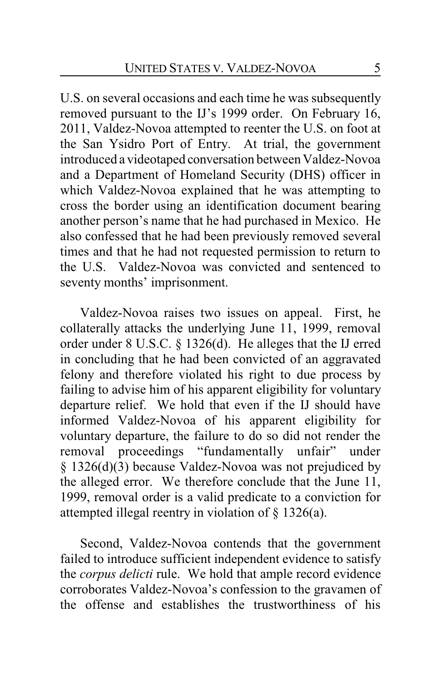U.S. on several occasions and each time he was subsequently removed pursuant to the IJ's 1999 order. On February 16, 2011, Valdez-Novoa attempted to reenter the U.S. on foot at the San Ysidro Port of Entry. At trial, the government introduced a videotaped conversation between Valdez-Novoa and a Department of Homeland Security (DHS) officer in which Valdez-Novoa explained that he was attempting to cross the border using an identification document bearing another person's name that he had purchased in Mexico. He also confessed that he had been previously removed several times and that he had not requested permission to return to the U.S. Valdez-Novoa was convicted and sentenced to seventy months' imprisonment.

Valdez-Novoa raises two issues on appeal. First, he collaterally attacks the underlying June 11, 1999, removal order under 8 U.S.C. § 1326(d). He alleges that the IJ erred in concluding that he had been convicted of an aggravated felony and therefore violated his right to due process by failing to advise him of his apparent eligibility for voluntary departure relief. We hold that even if the IJ should have informed Valdez-Novoa of his apparent eligibility for voluntary departure, the failure to do so did not render the removal proceedings "fundamentally unfair" under § 1326(d)(3) because Valdez-Novoa was not prejudiced by the alleged error. We therefore conclude that the June 11, 1999, removal order is a valid predicate to a conviction for attempted illegal reentry in violation of § 1326(a).

Second, Valdez-Novoa contends that the government failed to introduce sufficient independent evidence to satisfy the *corpus delicti* rule. We hold that ample record evidence corroborates Valdez-Novoa's confession to the gravamen of the offense and establishes the trustworthiness of his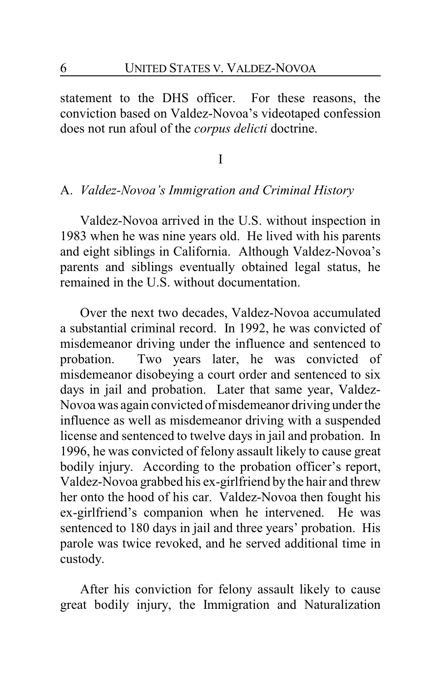statement to the DHS officer. For these reasons, the conviction based on Valdez-Novoa's videotaped confession does not run afoul of the *corpus delicti* doctrine.

I

### A. *Valdez-Novoa's Immigration and Criminal History*

Valdez-Novoa arrived in the U.S. without inspection in 1983 when he was nine years old. He lived with his parents and eight siblings in California. Although Valdez-Novoa's parents and siblings eventually obtained legal status, he remained in the U.S. without documentation.

Over the next two decades, Valdez-Novoa accumulated a substantial criminal record. In 1992, he was convicted of misdemeanor driving under the influence and sentenced to probation. Two years later, he was convicted of misdemeanor disobeying a court order and sentenced to six days in jail and probation. Later that same year, Valdez-Novoa was again convicted of misdemeanor driving under the influence as well as misdemeanor driving with a suspended license and sentenced to twelve days in jail and probation. In 1996, he was convicted of felony assault likely to cause great bodily injury. According to the probation officer's report, Valdez-Novoa grabbed his ex-girlfriend by the hair and threw her onto the hood of his car. Valdez-Novoa then fought his ex-girlfriend's companion when he intervened. He was sentenced to 180 days in jail and three years' probation. His parole was twice revoked, and he served additional time in custody.

After his conviction for felony assault likely to cause great bodily injury, the Immigration and Naturalization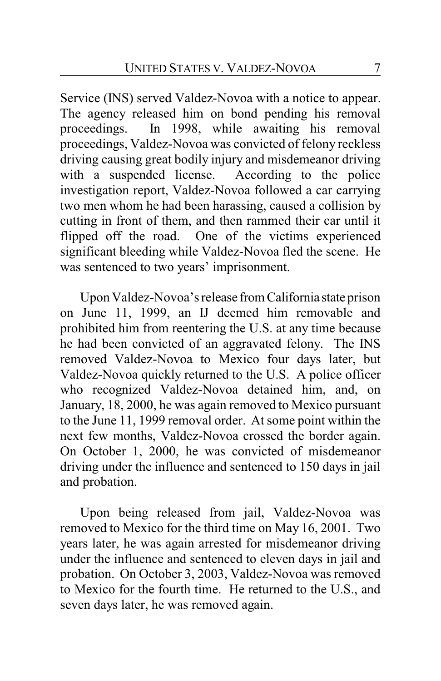Service (INS) served Valdez-Novoa with a notice to appear. The agency released him on bond pending his removal proceedings. In 1998, while awaiting his removal proceedings, Valdez-Novoa was convicted of felony reckless driving causing great bodily injury and misdemeanor driving with a suspended license. According to the police investigation report, Valdez-Novoa followed a car carrying two men whom he had been harassing, caused a collision by cutting in front of them, and then rammed their car until it flipped off the road. One of the victims experienced significant bleeding while Valdez-Novoa fled the scene. He was sentenced to two years' imprisonment.

Upon Valdez-Novoa's release fromCalifornia state prison on June 11, 1999, an IJ deemed him removable and prohibited him from reentering the U.S. at any time because he had been convicted of an aggravated felony. The INS removed Valdez-Novoa to Mexico four days later, but Valdez-Novoa quickly returned to the U.S. A police officer who recognized Valdez-Novoa detained him, and, on January, 18, 2000, he was again removed to Mexico pursuant to the June 11, 1999 removal order. At some point within the next few months, Valdez-Novoa crossed the border again. On October 1, 2000, he was convicted of misdemeanor driving under the influence and sentenced to 150 days in jail and probation.

Upon being released from jail, Valdez-Novoa was removed to Mexico for the third time on May 16, 2001. Two years later, he was again arrested for misdemeanor driving under the influence and sentenced to eleven days in jail and probation. On October 3, 2003, Valdez-Novoa was removed to Mexico for the fourth time. He returned to the U.S., and seven days later, he was removed again.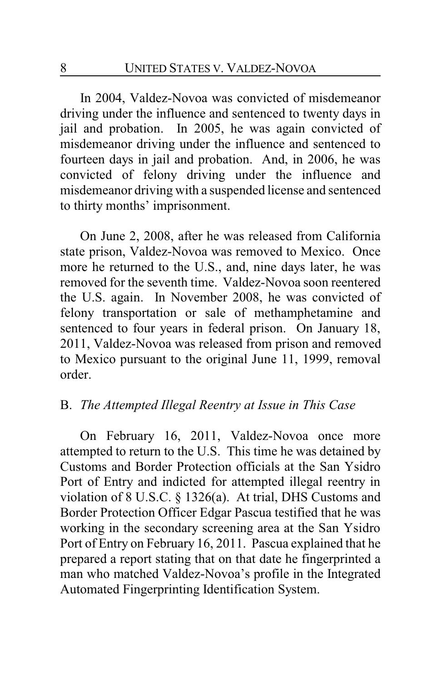In 2004, Valdez-Novoa was convicted of misdemeanor driving under the influence and sentenced to twenty days in jail and probation. In 2005, he was again convicted of misdemeanor driving under the influence and sentenced to fourteen days in jail and probation. And, in 2006, he was convicted of felony driving under the influence and misdemeanor driving with a suspended license and sentenced to thirty months' imprisonment.

On June 2, 2008, after he was released from California state prison, Valdez-Novoa was removed to Mexico. Once more he returned to the U.S., and, nine days later, he was removed for the seventh time. Valdez-Novoa soon reentered the U.S. again. In November 2008, he was convicted of felony transportation or sale of methamphetamine and sentenced to four years in federal prison. On January 18, 2011, Valdez-Novoa was released from prison and removed to Mexico pursuant to the original June 11, 1999, removal order.

### B. *The Attempted Illegal Reentry at Issue in This Case*

On February 16, 2011, Valdez-Novoa once more attempted to return to the U.S. This time he was detained by Customs and Border Protection officials at the San Ysidro Port of Entry and indicted for attempted illegal reentry in violation of 8 U.S.C. § 1326(a). At trial, DHS Customs and Border Protection Officer Edgar Pascua testified that he was working in the secondary screening area at the San Ysidro Port of Entry on February 16, 2011. Pascua explained that he prepared a report stating that on that date he fingerprinted a man who matched Valdez-Novoa's profile in the Integrated Automated Fingerprinting Identification System.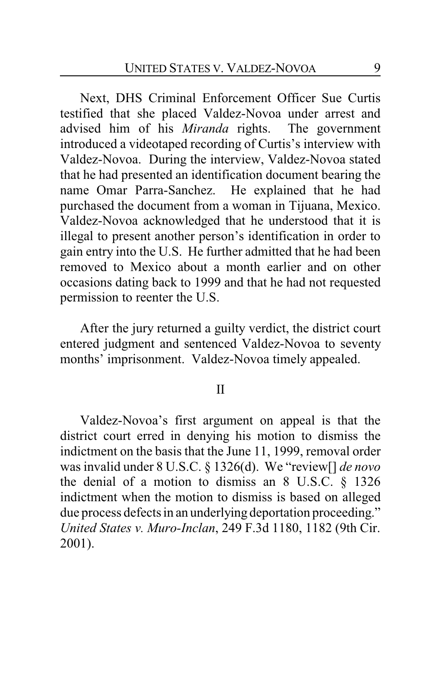Next, DHS Criminal Enforcement Officer Sue Curtis testified that she placed Valdez-Novoa under arrest and advised him of his *Miranda* rights. The government introduced a videotaped recording of Curtis's interview with Valdez-Novoa. During the interview, Valdez-Novoa stated that he had presented an identification document bearing the name Omar Parra-Sanchez. He explained that he had purchased the document from a woman in Tijuana, Mexico. Valdez-Novoa acknowledged that he understood that it is illegal to present another person's identification in order to gain entry into the U.S. He further admitted that he had been removed to Mexico about a month earlier and on other occasions dating back to 1999 and that he had not requested permission to reenter the U.S.

After the jury returned a guilty verdict, the district court entered judgment and sentenced Valdez-Novoa to seventy months' imprisonment. Valdez-Novoa timely appealed.

#### II

Valdez-Novoa's first argument on appeal is that the district court erred in denying his motion to dismiss the indictment on the basis that the June 11, 1999, removal order was invalid under 8 U.S.C. § 1326(d). We "review[] *de novo* the denial of a motion to dismiss an 8 U.S.C. § 1326 indictment when the motion to dismiss is based on alleged due process defects in an underlying deportation proceeding." *United States v. Muro-Inclan*, 249 F.3d 1180, 1182 (9th Cir. 2001).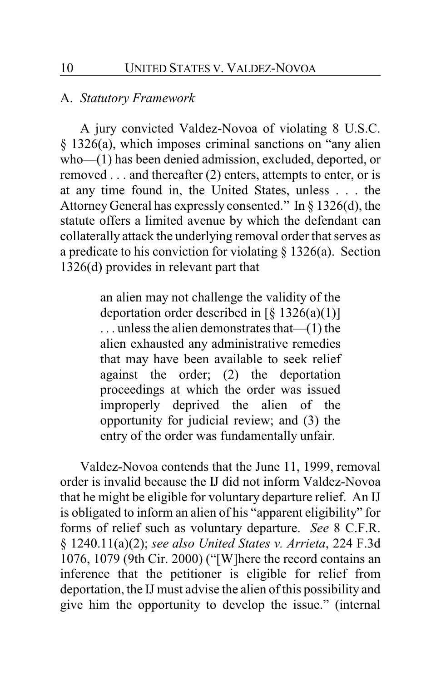### A. *Statutory Framework*

A jury convicted Valdez-Novoa of violating 8 U.S.C. § 1326(a), which imposes criminal sanctions on "any alien who—(1) has been denied admission, excluded, deported, or removed . . . and thereafter (2) enters, attempts to enter, or is at any time found in, the United States, unless . . . the Attorney General has expressly consented." In § 1326(d), the statute offers a limited avenue by which the defendant can collaterally attack the underlying removal order that serves as a predicate to his conviction for violating § 1326(a). Section 1326(d) provides in relevant part that

> an alien may not challenge the validity of the deportation order described in  $\lceil \S 1326(a)(1) \rceil$ . . . unless the alien demonstrates that—(1) the alien exhausted any administrative remedies that may have been available to seek relief against the order; (2) the deportation proceedings at which the order was issued improperly deprived the alien of the opportunity for judicial review; and (3) the entry of the order was fundamentally unfair.

Valdez-Novoa contends that the June 11, 1999, removal order is invalid because the IJ did not inform Valdez-Novoa that he might be eligible for voluntary departure relief. An IJ is obligated to inform an alien of his "apparent eligibility" for forms of relief such as voluntary departure. *See* 8 C.F.R. § 1240.11(a)(2); *see also United States v. Arrieta*, 224 F.3d 1076, 1079 (9th Cir. 2000) ("[W]here the record contains an inference that the petitioner is eligible for relief from deportation, the IJ must advise the alien of this possibility and give him the opportunity to develop the issue." (internal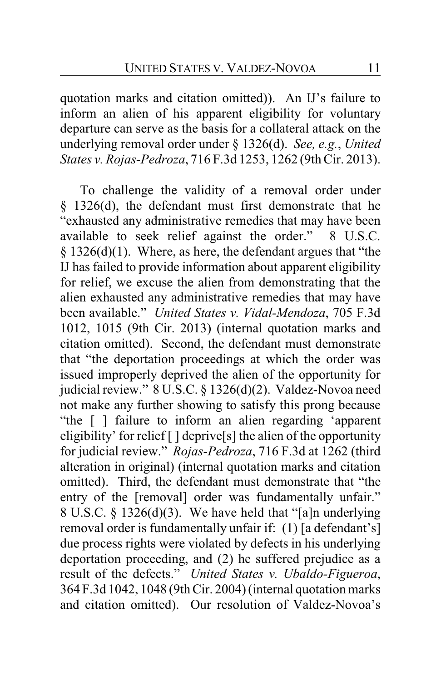quotation marks and citation omitted)). An IJ's failure to inform an alien of his apparent eligibility for voluntary departure can serve as the basis for a collateral attack on the underlying removal order under § 1326(d). *See, e.g.*, *United States v. Rojas-Pedroza*, 716 F.3d 1253, 1262 (9th Cir. 2013).

To challenge the validity of a removal order under § 1326(d), the defendant must first demonstrate that he "exhausted any administrative remedies that may have been available to seek relief against the order." 8 U.S.C. § 1326(d)(1). Where, as here, the defendant argues that "the IJ has failed to provide information about apparent eligibility for relief, we excuse the alien from demonstrating that the alien exhausted any administrative remedies that may have been available." *United States v. Vidal-Mendoza*, 705 F.3d 1012, 1015 (9th Cir. 2013) (internal quotation marks and citation omitted). Second, the defendant must demonstrate that "the deportation proceedings at which the order was issued improperly deprived the alien of the opportunity for judicial review." 8 U.S.C. § 1326(d)(2). Valdez-Novoa need not make any further showing to satisfy this prong because "the [ ] failure to inform an alien regarding 'apparent eligibility' for relief  $\lceil \cdot \rceil$  deprive  $\lceil s \rceil$  the alien of the opportunity for judicial review." *Rojas-Pedroza*, 716 F.3d at 1262 (third alteration in original) (internal quotation marks and citation omitted). Third, the defendant must demonstrate that "the entry of the [removal] order was fundamentally unfair." 8 U.S.C. § 1326(d)(3). We have held that "[a]n underlying removal order is fundamentally unfair if: (1) [a defendant's] due process rights were violated by defects in his underlying deportation proceeding, and (2) he suffered prejudice as a result of the defects." *United States v. Ubaldo-Figueroa*, 364 F.3d 1042, 1048 (9th Cir. 2004) (internal quotation marks and citation omitted). Our resolution of Valdez-Novoa's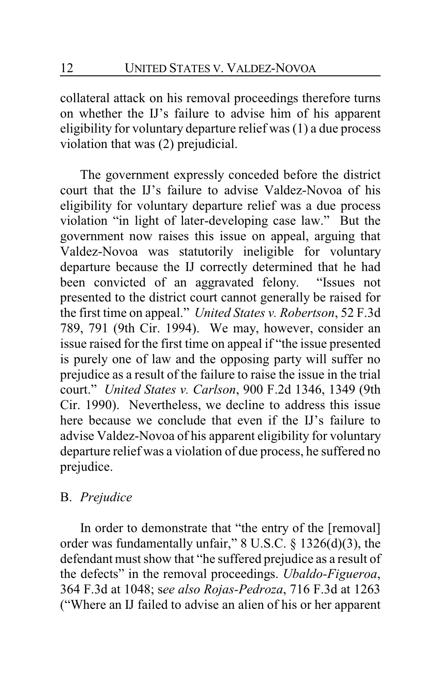collateral attack on his removal proceedings therefore turns on whether the IJ's failure to advise him of his apparent eligibility for voluntary departure relief was (1) a due process violation that was (2) prejudicial.

The government expressly conceded before the district court that the IJ's failure to advise Valdez-Novoa of his eligibility for voluntary departure relief was a due process violation "in light of later-developing case law." But the government now raises this issue on appeal, arguing that Valdez-Novoa was statutorily ineligible for voluntary departure because the IJ correctly determined that he had been convicted of an aggravated felony. "Issues not presented to the district court cannot generally be raised for the first time on appeal." *United States v. Robertson*, 52 F.3d 789, 791 (9th Cir. 1994). We may, however, consider an issue raised for the first time on appeal if "the issue presented is purely one of law and the opposing party will suffer no prejudice as a result of the failure to raise the issue in the trial court." *United States v. Carlson*, 900 F.2d 1346, 1349 (9th Cir. 1990). Nevertheless, we decline to address this issue here because we conclude that even if the IJ's failure to advise Valdez-Novoa of his apparent eligibility for voluntary departure relief was a violation of due process, he suffered no prejudice.

# B. *Prejudice*

In order to demonstrate that "the entry of the [removal] order was fundamentally unfair," 8 U.S.C. § 1326(d)(3), the defendant must show that "he suffered prejudice as a result of the defects" in the removal proceedings. *Ubaldo-Figueroa*, 364 F.3d at 1048; s*ee also Rojas-Pedroza*, 716 F.3d at 1263 ("Where an IJ failed to advise an alien of his or her apparent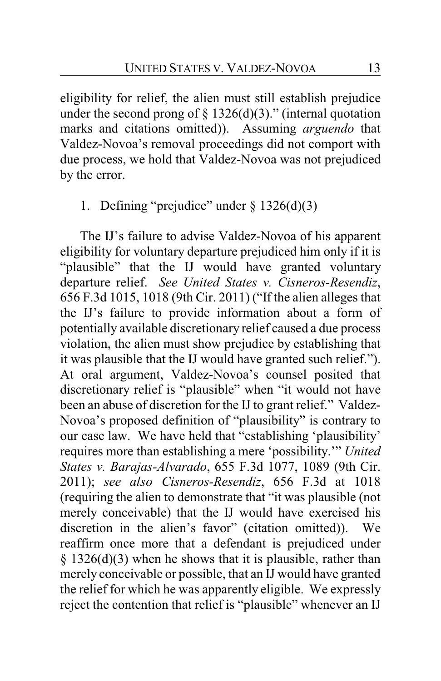eligibility for relief, the alien must still establish prejudice under the second prong of  $\S$  1326(d)(3)." (internal quotation marks and citations omitted)). Assuming *arguendo* that Valdez-Novoa's removal proceedings did not comport with due process, we hold that Valdez-Novoa was not prejudiced by the error.

# 1. Defining "prejudice" under  $\S 1326(d)(3)$

The IJ's failure to advise Valdez-Novoa of his apparent eligibility for voluntary departure prejudiced him only if it is "plausible" that the IJ would have granted voluntary departure relief. *See United States v. Cisneros-Resendiz*, 656 F.3d 1015, 1018 (9th Cir. 2011) ("If the alien alleges that the IJ's failure to provide information about a form of potentially available discretionary relief caused a due process violation, the alien must show prejudice by establishing that it was plausible that the IJ would have granted such relief."). At oral argument, Valdez-Novoa's counsel posited that discretionary relief is "plausible" when "it would not have been an abuse of discretion for the IJ to grant relief." Valdez-Novoa's proposed definition of "plausibility" is contrary to our case law. We have held that "establishing 'plausibility' requires more than establishing a mere 'possibility.'" *United States v. Barajas-Alvarado*, 655 F.3d 1077, 1089 (9th Cir. 2011); *see also Cisneros-Resendiz*, 656 F.3d at 1018 (requiring the alien to demonstrate that "it was plausible (not merely conceivable) that the IJ would have exercised his discretion in the alien's favor" (citation omitted)). We reaffirm once more that a defendant is prejudiced under § 1326(d)(3) when he shows that it is plausible, rather than merely conceivable or possible, that an IJ would have granted the relief for which he was apparently eligible. We expressly reject the contention that relief is "plausible" whenever an IJ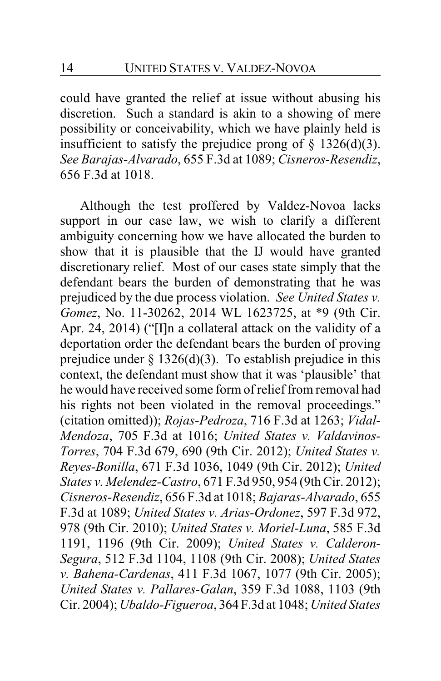could have granted the relief at issue without abusing his discretion. Such a standard is akin to a showing of mere possibility or conceivability, which we have plainly held is insufficient to satisfy the prejudice prong of  $\S$  1326(d)(3). *See Barajas-Alvarado*, 655 F.3d at 1089; *Cisneros-Resendiz*, 656 F.3d at 1018.

Although the test proffered by Valdez-Novoa lacks support in our case law, we wish to clarify a different ambiguity concerning how we have allocated the burden to show that it is plausible that the IJ would have granted discretionary relief. Most of our cases state simply that the defendant bears the burden of demonstrating that he was prejudiced by the due process violation. *See United States v. Gomez*, No. 11-30262, 2014 WL 1623725, at \*9 (9th Cir. Apr. 24, 2014) ("[I]n a collateral attack on the validity of a deportation order the defendant bears the burden of proving prejudice under  $\S 1326(d)(3)$ . To establish prejudice in this context, the defendant must show that it was 'plausible' that he would have received some form of relief from removal had his rights not been violated in the removal proceedings." (citation omitted)); *Rojas-Pedroza*, 716 F.3d at 1263; *Vidal-Mendoza*, 705 F.3d at 1016; *United States v. Valdavinos-Torres*, 704 F.3d 679, 690 (9th Cir. 2012); *United States v. Reyes-Bonilla*, 671 F.3d 1036, 1049 (9th Cir. 2012); *United States v. Melendez-Castro*, 671 F.3d 950, 954 (9th Cir. 2012); *Cisneros-Resendiz*, 656 F.3d at 1018; *Bajaras-Alvarado*, 655 F.3d at 1089; *United States v. Arias-Ordonez*, 597 F.3d 972, 978 (9th Cir. 2010); *United States v. Moriel-Luna*, 585 F.3d 1191, 1196 (9th Cir. 2009); *United States v. Calderon-Segura*, 512 F.3d 1104, 1108 (9th Cir. 2008); *United States v. Bahena-Cardenas*, 411 F.3d 1067, 1077 (9th Cir. 2005); *United States v. Pallares-Galan*, 359 F.3d 1088, 1103 (9th Cir. 2004); *Ubaldo-Figueroa*, 364 F.3d at 1048; *United States*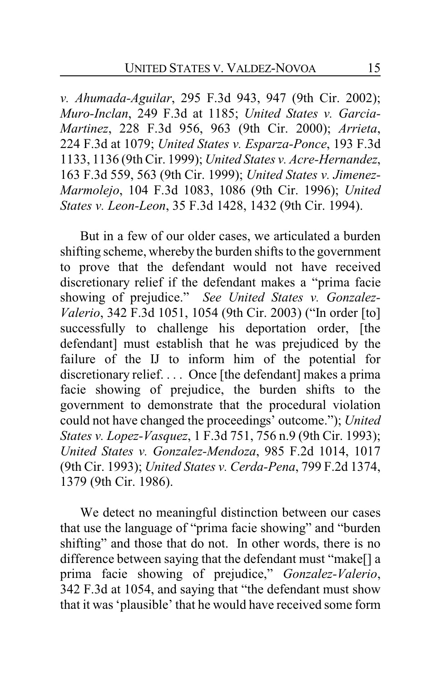*v. Ahumada-Aguilar*, 295 F.3d 943, 947 (9th Cir. 2002); *Muro-Inclan*, 249 F.3d at 1185; *United States v. Garcia-Martinez*, 228 F.3d 956, 963 (9th Cir. 2000); *Arrieta*, 224 F.3d at 1079; *United States v. Esparza-Ponce*, 193 F.3d 1133, 1136 (9th Cir. 1999); *United States v. Acre-Hernandez*, 163 F.3d 559, 563 (9th Cir. 1999); *United States v. Jimenez-Marmolejo*, 104 F.3d 1083, 1086 (9th Cir. 1996); *United States v. Leon-Leon*, 35 F.3d 1428, 1432 (9th Cir. 1994).

But in a few of our older cases, we articulated a burden shifting scheme, whereby the burden shifts to the government to prove that the defendant would not have received discretionary relief if the defendant makes a "prima facie showing of prejudice." *See United States v. Gonzalez-Valerio*, 342 F.3d 1051, 1054 (9th Cir. 2003) ("In order [to] successfully to challenge his deportation order, [the defendant] must establish that he was prejudiced by the failure of the IJ to inform him of the potential for discretionary relief. . . . Once [the defendant] makes a prima facie showing of prejudice, the burden shifts to the government to demonstrate that the procedural violation could not have changed the proceedings' outcome."); *United States v. Lopez-Vasquez*, 1 F.3d 751, 756 n.9 (9th Cir. 1993); *United States v. Gonzalez-Mendoza*, 985 F.2d 1014, 1017 (9th Cir. 1993); *United States v. Cerda-Pena*, 799 F.2d 1374, 1379 (9th Cir. 1986).

We detect no meaningful distinction between our cases that use the language of "prima facie showing" and "burden shifting" and those that do not. In other words, there is no difference between saying that the defendant must "make[] a prima facie showing of prejudice," *Gonzalez-Valerio*, 342 F.3d at 1054, and saying that "the defendant must show that it was 'plausible' that he would have received some form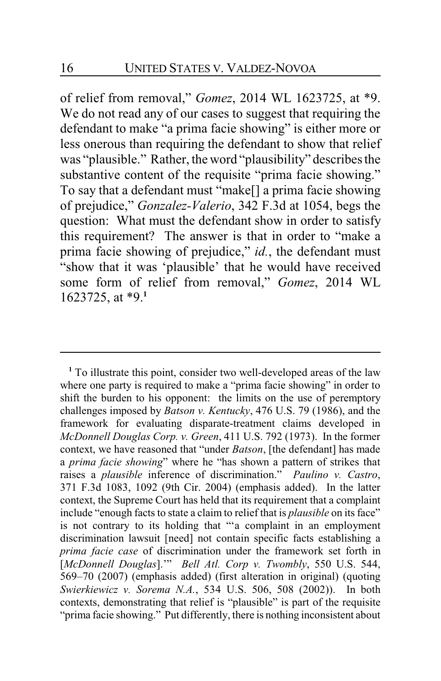of relief from removal," *Gomez*, 2014 WL 1623725, at \*9. We do not read any of our cases to suggest that requiring the defendant to make "a prima facie showing" is either more or less onerous than requiring the defendant to show that relief was "plausible." Rather, the word "plausibility" describes the substantive content of the requisite "prima facie showing." To say that a defendant must "make[] a prima facie showing of prejudice," *Gonzalez-Valerio*, 342 F.3d at 1054, begs the question: What must the defendant show in order to satisfy this requirement? The answer is that in order to "make a prima facie showing of prejudice," *id.*, the defendant must "show that it was 'plausible' that he would have received some form of relief from removal," *Gomez*, 2014 WL 1623725, at \*9.**<sup>1</sup>**

<sup>1</sup> To illustrate this point, consider two well-developed areas of the law where one party is required to make a "prima facie showing" in order to shift the burden to his opponent: the limits on the use of peremptory challenges imposed by *Batson v. Kentucky*, 476 U.S. 79 (1986), and the framework for evaluating disparate-treatment claims developed in *McDonnell Douglas Corp. v. Green*, 411 U.S. 792 (1973). In the former context, we have reasoned that "under *Batson*, [the defendant] has made a *prima facie showing*" where he "has shown a pattern of strikes that raises a *plausible* inference of discrimination." *Paulino v. Castro*, 371 F.3d 1083, 1092 (9th Cir. 2004) (emphasis added). In the latter context, the Supreme Court has held that its requirement that a complaint include "enough facts to state a claim to relief that is *plausible* on its face" is not contrary to its holding that "'a complaint in an employment discrimination lawsuit [need] not contain specific facts establishing a *prima facie case* of discrimination under the framework set forth in [*McDonnell Douglas*].'" *Bell Atl. Corp v. Twombly*, 550 U.S. 544, 569–70 (2007) (emphasis added) (first alteration in original) (quoting *Swierkiewicz v. Sorema N.A.*, 534 U.S. 506, 508 (2002)). In both contexts, demonstrating that relief is "plausible" is part of the requisite "prima facie showing." Put differently, there is nothing inconsistent about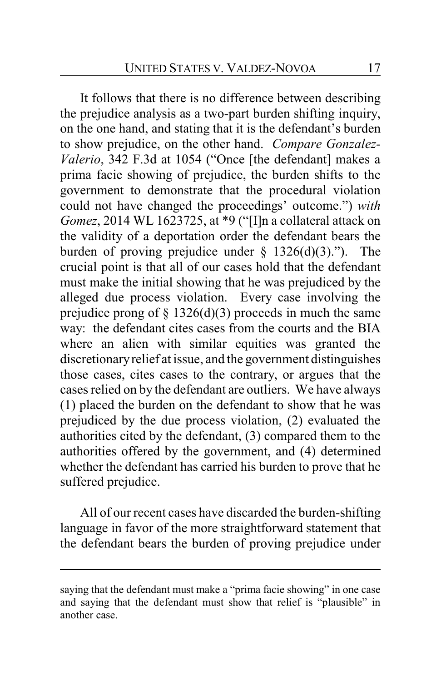It follows that there is no difference between describing the prejudice analysis as a two-part burden shifting inquiry, on the one hand, and stating that it is the defendant's burden to show prejudice, on the other hand. *Compare Gonzalez-Valerio*, 342 F.3d at 1054 ("Once [the defendant] makes a prima facie showing of prejudice, the burden shifts to the government to demonstrate that the procedural violation could not have changed the proceedings' outcome.") *with Gomez*, 2014 WL 1623725, at \*9 ("[I]n a collateral attack on the validity of a deportation order the defendant bears the burden of proving prejudice under  $\S$  1326(d)(3)."). The crucial point is that all of our cases hold that the defendant must make the initial showing that he was prejudiced by the alleged due process violation. Every case involving the prejudice prong of  $\S$  1326(d)(3) proceeds in much the same way: the defendant cites cases from the courts and the BIA where an alien with similar equities was granted the discretionaryrelief at issue, and the government distinguishes those cases, cites cases to the contrary, or argues that the cases relied on by the defendant are outliers. We have always (1) placed the burden on the defendant to show that he was prejudiced by the due process violation, (2) evaluated the authorities cited by the defendant, (3) compared them to the authorities offered by the government, and (4) determined whether the defendant has carried his burden to prove that he suffered prejudice.

All of our recent cases have discarded the burden-shifting language in favor of the more straightforward statement that the defendant bears the burden of proving prejudice under

saying that the defendant must make a "prima facie showing" in one case and saying that the defendant must show that relief is "plausible" in another case.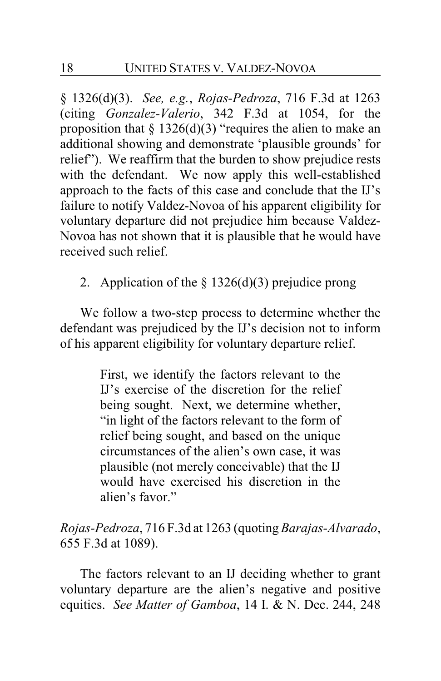§ 1326(d)(3). *See, e.g.*, *Rojas-Pedroza*, 716 F.3d at 1263 (citing *Gonzalez-Valerio*, 342 F.3d at 1054, for the proposition that  $\S 1326(d)(3)$  "requires the alien to make an additional showing and demonstrate 'plausible grounds' for relief"). We reaffirm that the burden to show prejudice rests with the defendant. We now apply this well-established approach to the facts of this case and conclude that the IJ's failure to notify Valdez-Novoa of his apparent eligibility for voluntary departure did not prejudice him because Valdez-Novoa has not shown that it is plausible that he would have received such relief.

2. Application of the  $\S$  1326(d)(3) prejudice prong

We follow a two-step process to determine whether the defendant was prejudiced by the IJ's decision not to inform of his apparent eligibility for voluntary departure relief.

> First, we identify the factors relevant to the IJ's exercise of the discretion for the relief being sought. Next, we determine whether, "in light of the factors relevant to the form of relief being sought, and based on the unique circumstances of the alien's own case, it was plausible (not merely conceivable) that the IJ would have exercised his discretion in the alien's favor."

*Rojas-Pedroza*, 716 F.3d at 1263 (quoting*Barajas-Alvarado*, 655 F.3d at 1089).

The factors relevant to an IJ deciding whether to grant voluntary departure are the alien's negative and positive equities. *See Matter of Gamboa*, 14 I. & N. Dec. 244, 248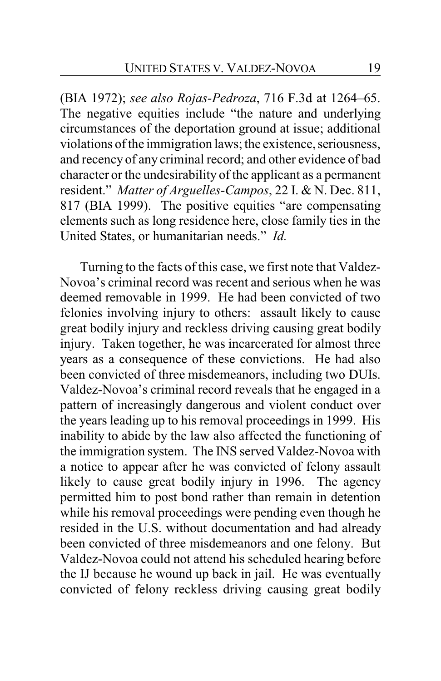(BIA 1972); *see also Rojas-Pedroza*, 716 F.3d at 1264–65. The negative equities include "the nature and underlying circumstances of the deportation ground at issue; additional violations of the immigration laws; the existence, seriousness, and recency of any criminal record; and other evidence of bad character or the undesirability of the applicant as a permanent resident." *Matter of Arguelles-Campos*, 22 I. & N. Dec. 811, 817 (BIA 1999). The positive equities "are compensating elements such as long residence here, close family ties in the United States, or humanitarian needs." *Id.*

Turning to the facts of this case, we first note that Valdez-Novoa's criminal record was recent and serious when he was deemed removable in 1999. He had been convicted of two felonies involving injury to others: assault likely to cause great bodily injury and reckless driving causing great bodily injury. Taken together, he was incarcerated for almost three years as a consequence of these convictions. He had also been convicted of three misdemeanors, including two DUIs. Valdez-Novoa's criminal record reveals that he engaged in a pattern of increasingly dangerous and violent conduct over the years leading up to his removal proceedings in 1999. His inability to abide by the law also affected the functioning of the immigration system. The INS served Valdez-Novoa with a notice to appear after he was convicted of felony assault likely to cause great bodily injury in 1996. The agency permitted him to post bond rather than remain in detention while his removal proceedings were pending even though he resided in the U.S. without documentation and had already been convicted of three misdemeanors and one felony. But Valdez-Novoa could not attend his scheduled hearing before the IJ because he wound up back in jail. He was eventually convicted of felony reckless driving causing great bodily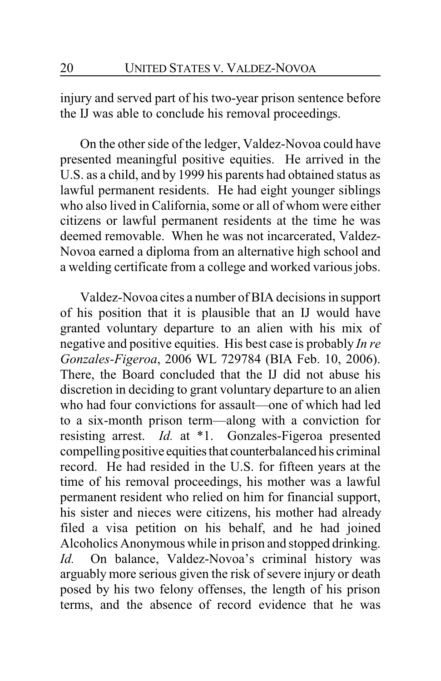injury and served part of his two-year prison sentence before the IJ was able to conclude his removal proceedings.

On the other side of the ledger, Valdez-Novoa could have presented meaningful positive equities. He arrived in the U.S. as a child, and by 1999 his parents had obtained status as lawful permanent residents. He had eight younger siblings who also lived in California, some or all of whom were either citizens or lawful permanent residents at the time he was deemed removable. When he was not incarcerated, Valdez-Novoa earned a diploma from an alternative high school and a welding certificate from a college and worked various jobs.

Valdez-Novoa cites a number of BIA decisions in support of his position that it is plausible that an IJ would have granted voluntary departure to an alien with his mix of negative and positive equities. His best case is probably *In re Gonzales-Figeroa*, 2006 WL 729784 (BIA Feb. 10, 2006). There, the Board concluded that the IJ did not abuse his discretion in deciding to grant voluntary departure to an alien who had four convictions for assault—one of which had led to a six-month prison term—along with a conviction for resisting arrest. *Id.* at \*1. Gonzales-Figeroa presented compelling positive equities that counterbalanced his criminal record. He had resided in the U.S. for fifteen years at the time of his removal proceedings, his mother was a lawful permanent resident who relied on him for financial support, his sister and nieces were citizens, his mother had already filed a visa petition on his behalf, and he had joined Alcoholics Anonymous while in prison and stopped drinking. *Id.* On balance, Valdez-Novoa's criminal history was arguably more serious given the risk of severe injury or death posed by his two felony offenses, the length of his prison terms, and the absence of record evidence that he was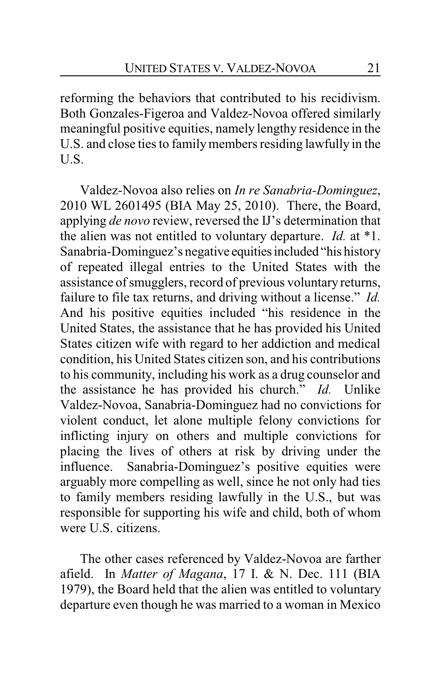reforming the behaviors that contributed to his recidivism. Both Gonzales-Figeroa and Valdez-Novoa offered similarly meaningful positive equities, namely lengthy residence in the U.S. and close ties to family members residing lawfully in the U.S.

Valdez-Novoa also relies on *In re Sanabria-Dominguez*, 2010 WL 2601495 (BIA May 25, 2010). There, the Board, applying *de novo* review, reversed the IJ's determination that the alien was not entitled to voluntary departure. *Id.* at \*1. Sanabria-Dominguez's negative equities included "his history" of repeated illegal entries to the United States with the assistance of smugglers, record of previous voluntary returns, failure to file tax returns, and driving without a license." *Id.* And his positive equities included "his residence in the United States, the assistance that he has provided his United States citizen wife with regard to her addiction and medical condition, his United States citizen son, and his contributions to his community, including his work as a drug counselor and the assistance he has provided his church." *Id.* Unlike Valdez-Novoa, Sanabria-Dominguez had no convictions for violent conduct, let alone multiple felony convictions for inflicting injury on others and multiple convictions for placing the lives of others at risk by driving under the influence. Sanabria-Dominguez's positive equities were arguably more compelling as well, since he not only had ties to family members residing lawfully in the U.S., but was responsible for supporting his wife and child, both of whom were U.S. citizens.

The other cases referenced by Valdez-Novoa are farther afield. In *Matter of Magana*, 17 I. & N. Dec. 111 (BIA 1979), the Board held that the alien was entitled to voluntary departure even though he was married to a woman in Mexico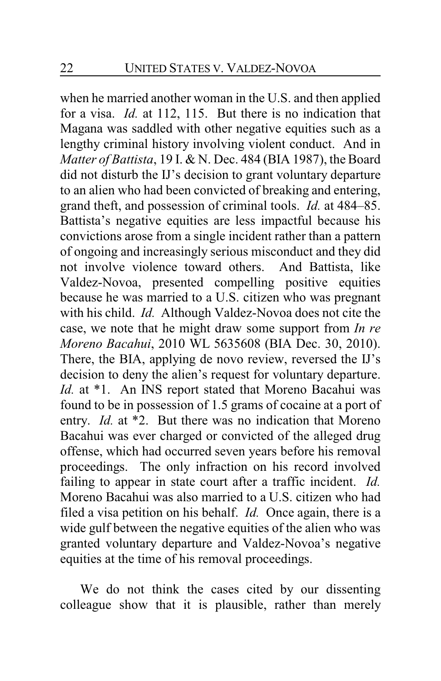when he married another woman in the U.S. and then applied for a visa. *Id.* at 112, 115. But there is no indication that Magana was saddled with other negative equities such as a lengthy criminal history involving violent conduct. And in *Matter of Battista*, 19 I. & N. Dec. 484 (BIA 1987), the Board did not disturb the IJ's decision to grant voluntary departure to an alien who had been convicted of breaking and entering, grand theft, and possession of criminal tools. *Id.* at 484–85. Battista's negative equities are less impactful because his convictions arose from a single incident rather than a pattern of ongoing and increasingly serious misconduct and they did not involve violence toward others. And Battista, like Valdez-Novoa, presented compelling positive equities because he was married to a U.S. citizen who was pregnant with his child. *Id.* Although Valdez-Novoa does not cite the case, we note that he might draw some support from *In re Moreno Bacahui*, 2010 WL 5635608 (BIA Dec. 30, 2010). There, the BIA, applying de novo review, reversed the IJ's decision to deny the alien's request for voluntary departure. *Id.* at \*1. An INS report stated that Moreno Bacahui was found to be in possession of 1.5 grams of cocaine at a port of entry. *Id.* at \*2. But there was no indication that Moreno Bacahui was ever charged or convicted of the alleged drug offense, which had occurred seven years before his removal proceedings. The only infraction on his record involved failing to appear in state court after a traffic incident. *Id.*  Moreno Bacahui was also married to a U.S. citizen who had filed a visa petition on his behalf. *Id.* Once again, there is a wide gulf between the negative equities of the alien who was granted voluntary departure and Valdez-Novoa's negative equities at the time of his removal proceedings.

We do not think the cases cited by our dissenting colleague show that it is plausible, rather than merely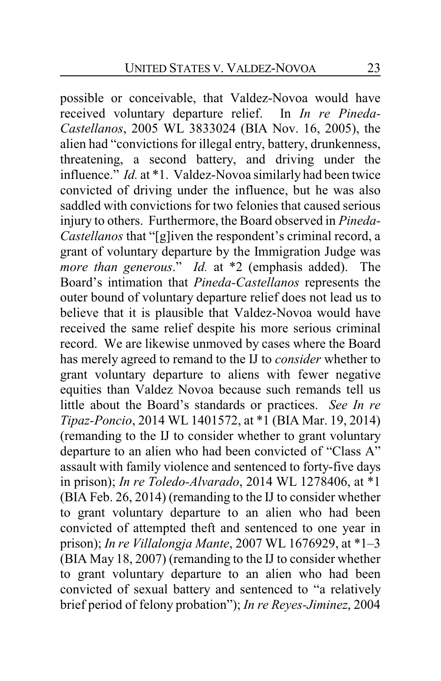possible or conceivable, that Valdez-Novoa would have received voluntary departure relief. In *In re Pineda-Castellanos*, 2005 WL 3833024 (BIA Nov. 16, 2005), the alien had "convictions for illegal entry, battery, drunkenness, threatening, a second battery, and driving under the influence." *Id.* at \*1. Valdez-Novoa similarly had been twice convicted of driving under the influence, but he was also saddled with convictions for two felonies that caused serious injury to others. Furthermore, the Board observed in *Pineda-Castellanos* that "[g]iven the respondent's criminal record, a grant of voluntary departure by the Immigration Judge was *more than generous*." *Id.* at \*2 (emphasis added). The Board's intimation that *Pineda-Castellanos* represents the outer bound of voluntary departure relief does not lead us to believe that it is plausible that Valdez-Novoa would have received the same relief despite his more serious criminal record. We are likewise unmoved by cases where the Board has merely agreed to remand to the IJ to *consider* whether to grant voluntary departure to aliens with fewer negative equities than Valdez Novoa because such remands tell us little about the Board's standards or practices. *See In re Tipaz-Poncio*, 2014 WL 1401572, at \*1 (BIA Mar. 19, 2014) (remanding to the IJ to consider whether to grant voluntary departure to an alien who had been convicted of "Class A" assault with family violence and sentenced to forty-five days in prison); *In re Toledo-Alvarado*, 2014 WL 1278406, at \*1 (BIA Feb. 26, 2014) (remanding to the IJ to consider whether to grant voluntary departure to an alien who had been convicted of attempted theft and sentenced to one year in prison); *In re Villalongja Mante*, 2007 WL 1676929, at \*1–3 (BIA May 18, 2007) (remanding to the IJ to consider whether to grant voluntary departure to an alien who had been convicted of sexual battery and sentenced to "a relatively brief period of felony probation"); *In re Reyes-Jiminez*, 2004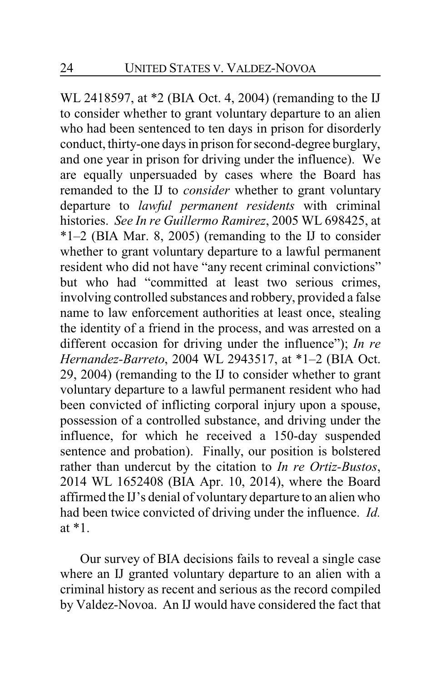WL 2418597, at \*2 (BIA Oct. 4, 2004) (remanding to the IJ to consider whether to grant voluntary departure to an alien who had been sentenced to ten days in prison for disorderly conduct, thirty-one days in prison for second-degree burglary, and one year in prison for driving under the influence). We are equally unpersuaded by cases where the Board has remanded to the IJ to *consider* whether to grant voluntary departure to *lawful permanent residents* with criminal histories. *See In re Guillermo Ramirez*, 2005 WL 698425, at \*1–2 (BIA Mar. 8, 2005) (remanding to the IJ to consider whether to grant voluntary departure to a lawful permanent resident who did not have "any recent criminal convictions" but who had "committed at least two serious crimes, involving controlled substances and robbery, provided a false name to law enforcement authorities at least once, stealing the identity of a friend in the process, and was arrested on a different occasion for driving under the influence"); *In re Hernandez-Barreto*, 2004 WL 2943517, at \*1–2 (BIA Oct. 29, 2004) (remanding to the IJ to consider whether to grant voluntary departure to a lawful permanent resident who had been convicted of inflicting corporal injury upon a spouse, possession of a controlled substance, and driving under the influence, for which he received a 150-day suspended sentence and probation). Finally, our position is bolstered rather than undercut by the citation to *In re Ortiz-Bustos*, 2014 WL 1652408 (BIA Apr. 10, 2014), where the Board affirmed the IJ's denial of voluntary departure to an alien who had been twice convicted of driving under the influence. *Id.* at \*1.

Our survey of BIA decisions fails to reveal a single case where an IJ granted voluntary departure to an alien with a criminal history as recent and serious as the record compiled by Valdez-Novoa. An IJ would have considered the fact that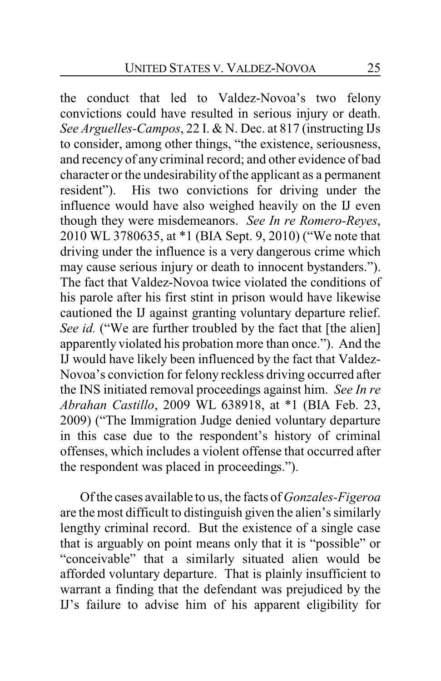the conduct that led to Valdez-Novoa's two felony convictions could have resulted in serious injury or death. *See Arguelles-Campos*, 22 I. & N. Dec. at 817 (instructing IJs to consider, among other things, "the existence, seriousness, and recency of any criminal record; and other evidence of bad character or the undesirability of the applicant as a permanent resident"). His two convictions for driving under the influence would have also weighed heavily on the IJ even though they were misdemeanors. *See In re Romero-Reyes*, 2010 WL 3780635, at \*1 (BIA Sept. 9, 2010) ("We note that driving under the influence is a very dangerous crime which may cause serious injury or death to innocent bystanders."). The fact that Valdez-Novoa twice violated the conditions of his parole after his first stint in prison would have likewise cautioned the IJ against granting voluntary departure relief. *See id.* ("We are further troubled by the fact that [the alien] apparently violated his probation more than once."). And the IJ would have likely been influenced by the fact that Valdez-Novoa's conviction for felony reckless driving occurred after the INS initiated removal proceedings against him. *See In re Abrahan Castillo*, 2009 WL 638918, at \*1 (BIA Feb. 23, 2009) ("The Immigration Judge denied voluntary departure in this case due to the respondent's history of criminal offenses, which includes a violent offense that occurred after the respondent was placed in proceedings.").

Of the cases available to us, the facts of *Gonzales-Figeroa* are the most difficult to distinguish given the alien's similarly lengthy criminal record. But the existence of a single case that is arguably on point means only that it is "possible" or "conceivable" that a similarly situated alien would be afforded voluntary departure. That is plainly insufficient to warrant a finding that the defendant was prejudiced by the IJ's failure to advise him of his apparent eligibility for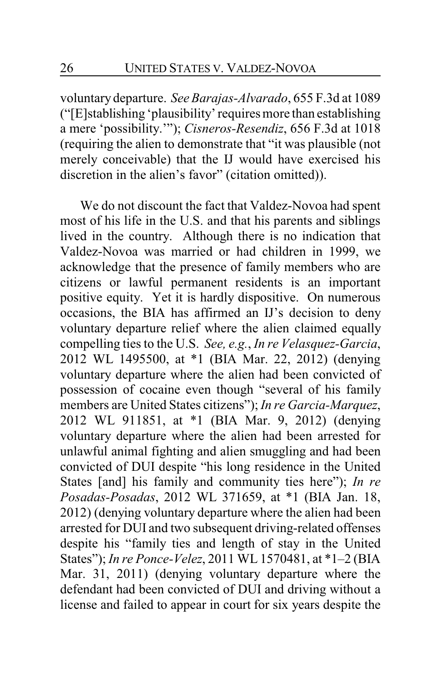voluntary departure. *SeeBarajas-Alvarado*, 655 F.3d at 1089 ("[E]stablishing 'plausibility' requires more than establishing a mere 'possibility.'"); *Cisneros-Resendiz*, 656 F.3d at 1018 (requiring the alien to demonstrate that "it was plausible (not merely conceivable) that the IJ would have exercised his discretion in the alien's favor" (citation omitted)).

We do not discount the fact that Valdez-Novoa had spent most of his life in the U.S. and that his parents and siblings lived in the country. Although there is no indication that Valdez-Novoa was married or had children in 1999, we acknowledge that the presence of family members who are citizens or lawful permanent residents is an important positive equity. Yet it is hardly dispositive. On numerous occasions, the BIA has affirmed an IJ's decision to deny voluntary departure relief where the alien claimed equally compelling ties to the U.S. *See, e.g.*, *In re Velasquez-Garcia*, 2012 WL 1495500, at \*1 (BIA Mar. 22, 2012) (denying voluntary departure where the alien had been convicted of possession of cocaine even though "several of his family members are United States citizens"); *In re Garcia-Marquez*, 2012 WL 911851, at \*1 (BIA Mar. 9, 2012) (denying voluntary departure where the alien had been arrested for unlawful animal fighting and alien smuggling and had been convicted of DUI despite "his long residence in the United States [and] his family and community ties here"); *In re Posadas-Posadas*, 2012 WL 371659, at \*1 (BIA Jan. 18, 2012) (denying voluntary departure where the alien had been arrested for DUI and two subsequent driving-related offenses despite his "family ties and length of stay in the United States"); *In re Ponce-Velez*, 2011 WL 1570481, at \*1–2 (BIA Mar. 31, 2011) (denying voluntary departure where the defendant had been convicted of DUI and driving without a license and failed to appear in court for six years despite the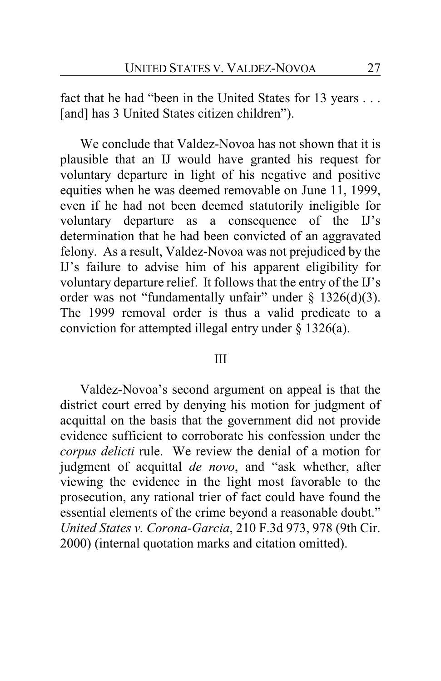fact that he had "been in the United States for 13 years . . . [and] has 3 United States citizen children").

We conclude that Valdez-Novoa has not shown that it is plausible that an IJ would have granted his request for voluntary departure in light of his negative and positive equities when he was deemed removable on June 11, 1999, even if he had not been deemed statutorily ineligible for voluntary departure as a consequence of the IJ's determination that he had been convicted of an aggravated felony. As a result, Valdez-Novoa was not prejudiced by the IJ's failure to advise him of his apparent eligibility for voluntary departure relief. It follows that the entry of the IJ's order was not "fundamentally unfair" under  $\S$  1326(d)(3). The 1999 removal order is thus a valid predicate to a conviction for attempted illegal entry under § 1326(a).

### III

Valdez-Novoa's second argument on appeal is that the district court erred by denying his motion for judgment of acquittal on the basis that the government did not provide evidence sufficient to corroborate his confession under the *corpus delicti* rule. We review the denial of a motion for judgment of acquittal *de novo*, and "ask whether, after viewing the evidence in the light most favorable to the prosecution, any rational trier of fact could have found the essential elements of the crime beyond a reasonable doubt." *United States v. Corona-Garcia*, 210 F.3d 973, 978 (9th Cir. 2000) (internal quotation marks and citation omitted).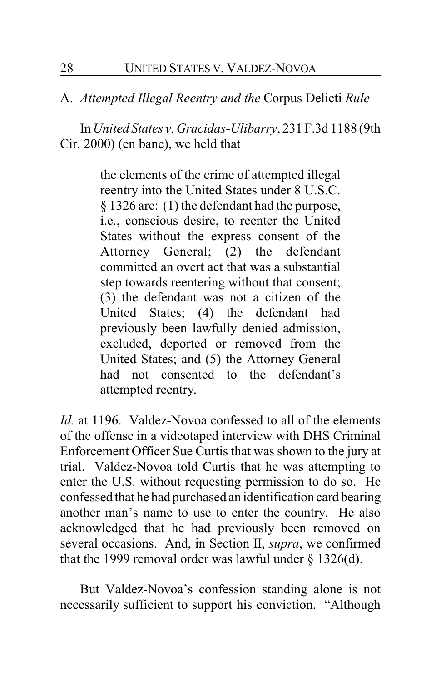A. *Attempted Illegal Reentry and the* Corpus Delicti *Rule*

In *United States v. Gracidas-Ulibarry*, 231 F.3d 1188 (9th Cir. 2000) (en banc), we held that

> the elements of the crime of attempted illegal reentry into the United States under 8 U.S.C. § 1326 are: (1) the defendant had the purpose, i.e., conscious desire, to reenter the United States without the express consent of the Attorney General; (2) the defendant committed an overt act that was a substantial step towards reentering without that consent; (3) the defendant was not a citizen of the United States; (4) the defendant had previously been lawfully denied admission, excluded, deported or removed from the United States; and (5) the Attorney General had not consented to the defendant's attempted reentry.

*Id.* at 1196. Valdez-Novoa confessed to all of the elements of the offense in a videotaped interview with DHS Criminal Enforcement Officer Sue Curtis that was shown to the jury at trial. Valdez-Novoa told Curtis that he was attempting to enter the U.S. without requesting permission to do so. He confessed that he had purchased an identification card bearing another man's name to use to enter the country. He also acknowledged that he had previously been removed on several occasions. And, in Section II, *supra*, we confirmed that the 1999 removal order was lawful under  $\S$  1326(d).

But Valdez-Novoa's confession standing alone is not necessarily sufficient to support his conviction. "Although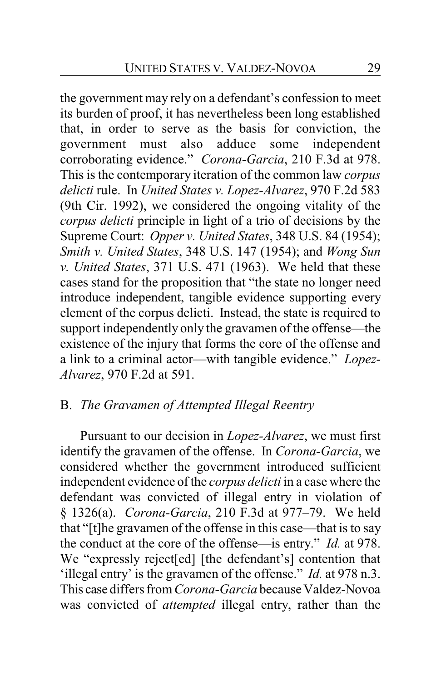the government may rely on a defendant's confession to meet its burden of proof, it has nevertheless been long established that, in order to serve as the basis for conviction, the government must also adduce some independent corroborating evidence." *Corona-Garcia*, 210 F.3d at 978. This is the contemporary iteration of the common law *corpus delicti* rule. In *United States v. Lopez-Alvarez*, 970 F.2d 583 (9th Cir. 1992), we considered the ongoing vitality of the *corpus delicti* principle in light of a trio of decisions by the Supreme Court: *Opper v. United States*, 348 U.S. 84 (1954); *Smith v. United States*, 348 U.S. 147 (1954); and *Wong Sun v. United States*, 371 U.S. 471 (1963). We held that these cases stand for the proposition that "the state no longer need introduce independent, tangible evidence supporting every element of the corpus delicti. Instead, the state is required to support independently only the gravamen of the offense—the existence of the injury that forms the core of the offense and a link to a criminal actor—with tangible evidence." *Lopez-Alvarez*, 970 F.2d at 591.

# B. *The Gravamen of Attempted Illegal Reentry*

Pursuant to our decision in *Lopez-Alvarez*, we must first identify the gravamen of the offense. In *Corona-Garcia*, we considered whether the government introduced sufficient independent evidence of the *corpus delicti* in a case where the defendant was convicted of illegal entry in violation of § 1326(a). *Corona-Garcia*, 210 F.3d at 977–79. We held that "[t]he gravamen of the offense in this case—that is to say the conduct at the core of the offense—is entry." *Id.* at 978. We "expressly reject[ed] [the defendant's] contention that 'illegal entry' is the gravamen of the offense." *Id.* at 978 n.3. This case differs from *Corona-Garcia* because Valdez-Novoa was convicted of *attempted* illegal entry, rather than the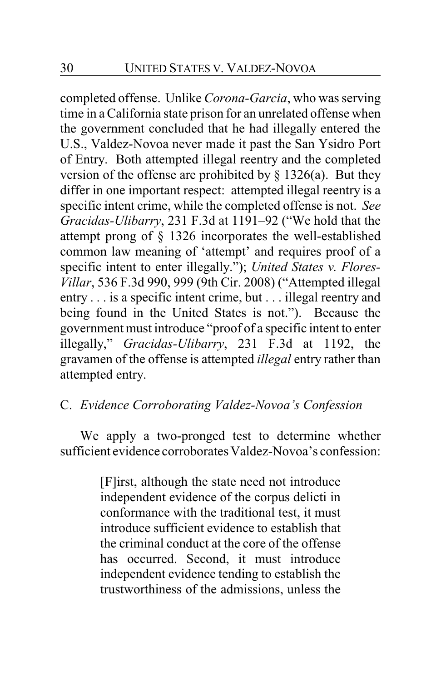completed offense. Unlike *Corona-Garcia*, who was serving time in aCalifornia state prison for an unrelated offense when the government concluded that he had illegally entered the U.S., Valdez-Novoa never made it past the San Ysidro Port of Entry. Both attempted illegal reentry and the completed version of the offense are prohibited by  $\S$  1326(a). But they differ in one important respect: attempted illegal reentry is a specific intent crime, while the completed offense is not. *See Gracidas-Ulibarry*, 231 F.3d at 1191–92 ("We hold that the attempt prong of § 1326 incorporates the well-established common law meaning of 'attempt' and requires proof of a specific intent to enter illegally."); *United States v. Flores-Villar*, 536 F.3d 990, 999 (9th Cir. 2008) ("Attempted illegal entry . . . is a specific intent crime, but . . . illegal reentry and being found in the United States is not."). Because the government must introduce "proof of a specific intent to enter illegally," *Gracidas-Ulibarry*, 231 F.3d at 1192, the gravamen of the offense is attempted *illegal* entry rather than attempted entry.

# C. *Evidence Corroborating Valdez-Novoa's Confession*

We apply a two-pronged test to determine whether sufficient evidence corroborates Valdez-Novoa's confession:

> [F]irst, although the state need not introduce independent evidence of the corpus delicti in conformance with the traditional test, it must introduce sufficient evidence to establish that the criminal conduct at the core of the offense has occurred. Second, it must introduce independent evidence tending to establish the trustworthiness of the admissions, unless the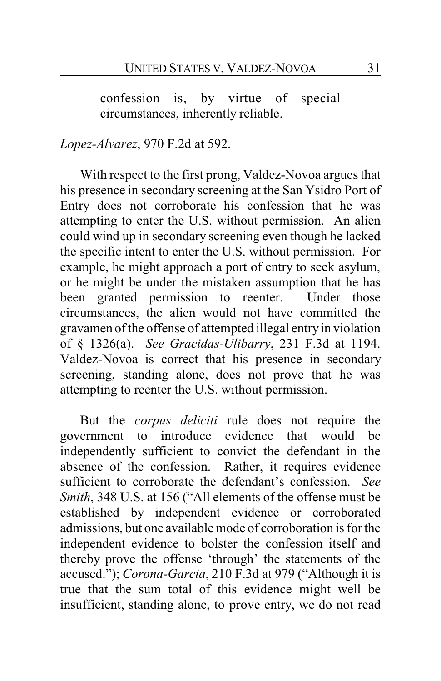confession is, by virtue of special circumstances, inherently reliable.

# *Lopez-Alvarez*, 970 F.2d at 592.

With respect to the first prong, Valdez-Novoa argues that his presence in secondary screening at the San Ysidro Port of Entry does not corroborate his confession that he was attempting to enter the U.S. without permission. An alien could wind up in secondary screening even though he lacked the specific intent to enter the U.S. without permission. For example, he might approach a port of entry to seek asylum, or he might be under the mistaken assumption that he has been granted permission to reenter. Under those circumstances, the alien would not have committed the gravamen of the offense of attempted illegal entry in violation of § 1326(a). *See Gracidas-Ulibarry*, 231 F.3d at 1194. Valdez-Novoa is correct that his presence in secondary screening, standing alone, does not prove that he was attempting to reenter the U.S. without permission.

But the *corpus deliciti* rule does not require the government to introduce evidence that would be independently sufficient to convict the defendant in the absence of the confession. Rather, it requires evidence sufficient to corroborate the defendant's confession. *See Smith*, 348 U.S. at 156 ("All elements of the offense must be established by independent evidence or corroborated admissions, but one available mode of corroboration is for the independent evidence to bolster the confession itself and thereby prove the offense 'through' the statements of the accused."); *Corona-Garcia*, 210 F.3d at 979 ("Although it is true that the sum total of this evidence might well be insufficient, standing alone, to prove entry, we do not read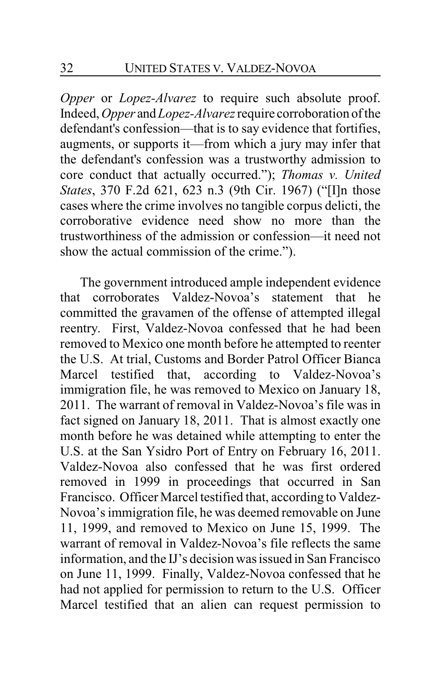*Opper* or *Lopez-Alvarez* to require such absolute proof. Indeed, *Opper* and *Lopez-Alvarez*require corroboration of the defendant's confession—that is to say evidence that fortifies, augments, or supports it—from which a jury may infer that the defendant's confession was a trustworthy admission to core conduct that actually occurred."); *Thomas v. United States*, 370 F.2d 621, 623 n.3 (9th Cir. 1967) ("[I]n those cases where the crime involves no tangible corpus delicti, the corroborative evidence need show no more than the trustworthiness of the admission or confession—it need not show the actual commission of the crime.").

The government introduced ample independent evidence that corroborates Valdez-Novoa's statement that he committed the gravamen of the offense of attempted illegal reentry. First, Valdez-Novoa confessed that he had been removed to Mexico one month before he attempted to reenter the U.S. At trial, Customs and Border Patrol Officer Bianca Marcel testified that, according to Valdez-Novoa's immigration file, he was removed to Mexico on January 18, 2011. The warrant of removal in Valdez-Novoa's file was in fact signed on January 18, 2011. That is almost exactly one month before he was detained while attempting to enter the U.S. at the San Ysidro Port of Entry on February 16, 2011. Valdez-Novoa also confessed that he was first ordered removed in 1999 in proceedings that occurred in San Francisco. Officer Marcel testified that, according to Valdez-Novoa's immigration file, he was deemed removable on June 11, 1999, and removed to Mexico on June 15, 1999. The warrant of removal in Valdez-Novoa's file reflects the same information, and the IJ's decision was issued in San Francisco on June 11, 1999. Finally, Valdez-Novoa confessed that he had not applied for permission to return to the U.S. Officer Marcel testified that an alien can request permission to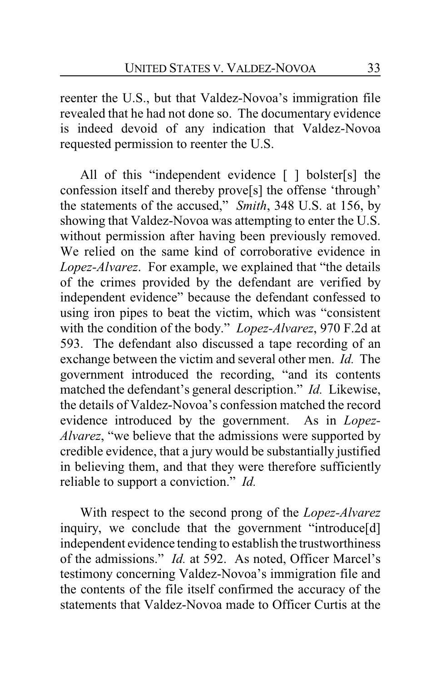reenter the U.S., but that Valdez-Novoa's immigration file revealed that he had not done so. The documentary evidence is indeed devoid of any indication that Valdez-Novoa requested permission to reenter the U.S.

All of this "independent evidence [ ] bolster[s] the confession itself and thereby prove[s] the offense 'through' the statements of the accused," *Smith*, 348 U.S. at 156, by showing that Valdez-Novoa was attempting to enter the U.S. without permission after having been previously removed. We relied on the same kind of corroborative evidence in *Lopez-Alvarez*. For example, we explained that "the details of the crimes provided by the defendant are verified by independent evidence" because the defendant confessed to using iron pipes to beat the victim, which was "consistent with the condition of the body." *Lopez-Alvarez*, 970 F.2d at 593. The defendant also discussed a tape recording of an exchange between the victim and several other men. *Id.* The government introduced the recording, "and its contents matched the defendant's general description." *Id.* Likewise, the details of Valdez-Novoa's confession matched the record evidence introduced by the government. As in *Lopez-Alvarez*, "we believe that the admissions were supported by credible evidence, that a jury would be substantially justified in believing them, and that they were therefore sufficiently reliable to support a conviction." *Id.*

With respect to the second prong of the *Lopez-Alvarez* inquiry, we conclude that the government "introduce[d] independent evidence tending to establish the trustworthiness of the admissions." *Id.* at 592. As noted, Officer Marcel's testimony concerning Valdez-Novoa's immigration file and the contents of the file itself confirmed the accuracy of the statements that Valdez-Novoa made to Officer Curtis at the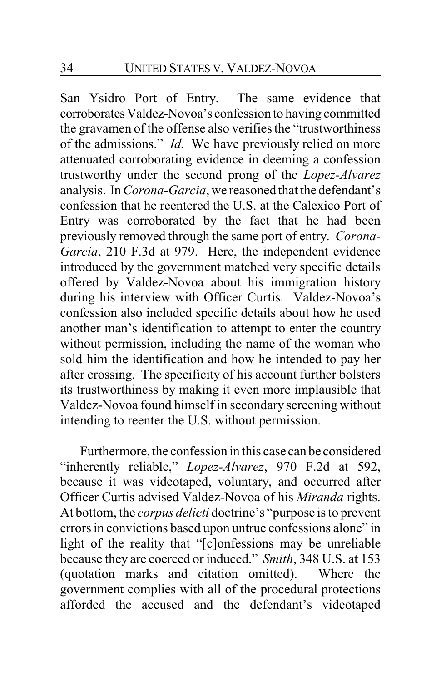San Ysidro Port of Entry. The same evidence that corroborates Valdez-Novoa's confession to having committed the gravamen of the offense also verifies the "trustworthiness of the admissions." *Id.* We have previously relied on more attenuated corroborating evidence in deeming a confession trustworthy under the second prong of the *Lopez-Alvarez* analysis. In *Corona-Garcia*, we reasoned that the defendant's confession that he reentered the U.S. at the Calexico Port of Entry was corroborated by the fact that he had been previously removed through the same port of entry. *Corona-Garcia*, 210 F.3d at 979. Here, the independent evidence introduced by the government matched very specific details offered by Valdez-Novoa about his immigration history during his interview with Officer Curtis. Valdez-Novoa's confession also included specific details about how he used another man's identification to attempt to enter the country without permission, including the name of the woman who sold him the identification and how he intended to pay her after crossing. The specificity of his account further bolsters its trustworthiness by making it even more implausible that Valdez-Novoa found himself in secondary screening without intending to reenter the U.S. without permission.

Furthermore, the confession in this case can be considered "inherently reliable," *Lopez-Alvarez*, 970 F.2d at 592, because it was videotaped, voluntary, and occurred after Officer Curtis advised Valdez-Novoa of his *Miranda* rights. At bottom, the *corpus delicti* doctrine's "purpose is to prevent errors in convictions based upon untrue confessions alone" in light of the reality that "[c]onfessions may be unreliable because they are coerced or induced." *Smith*, 348 U.S. at 153 (quotation marks and citation omitted). Where the government complies with all of the procedural protections afforded the accused and the defendant's videotaped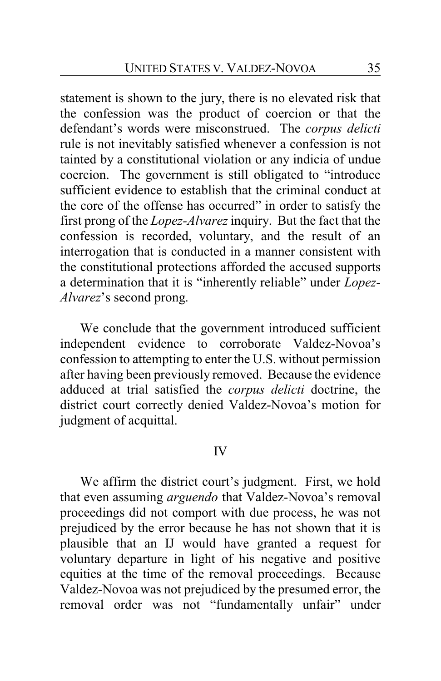statement is shown to the jury, there is no elevated risk that the confession was the product of coercion or that the defendant's words were misconstrued. The *corpus delicti* rule is not inevitably satisfied whenever a confession is not tainted by a constitutional violation or any indicia of undue coercion. The government is still obligated to "introduce sufficient evidence to establish that the criminal conduct at the core of the offense has occurred" in order to satisfy the first prong of the *Lopez-Alvarez*inquiry. But the fact that the confession is recorded, voluntary, and the result of an interrogation that is conducted in a manner consistent with the constitutional protections afforded the accused supports a determination that it is "inherently reliable" under *Lopez-Alvarez*'s second prong.

We conclude that the government introduced sufficient independent evidence to corroborate Valdez-Novoa's confession to attempting to enter the U.S. without permission after having been previously removed. Because the evidence adduced at trial satisfied the *corpus delicti* doctrine, the district court correctly denied Valdez-Novoa's motion for judgment of acquittal.

### IV

We affirm the district court's judgment. First, we hold that even assuming *arguendo* that Valdez-Novoa's removal proceedings did not comport with due process, he was not prejudiced by the error because he has not shown that it is plausible that an IJ would have granted a request for voluntary departure in light of his negative and positive equities at the time of the removal proceedings. Because Valdez-Novoa was not prejudiced by the presumed error, the removal order was not "fundamentally unfair" under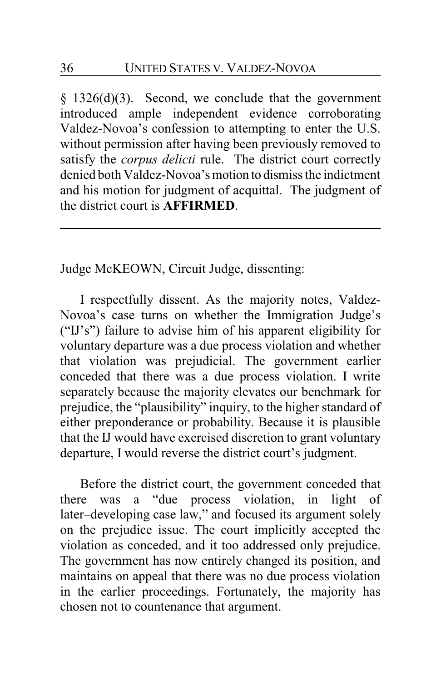§ 1326(d)(3). Second, we conclude that the government introduced ample independent evidence corroborating Valdez-Novoa's confession to attempting to enter the U.S. without permission after having been previously removed to satisfy the *corpus delicti* rule. The district court correctly denied both Valdez-Novoa's motion to dismiss the indictment and his motion for judgment of acquittal. The judgment of the district court is **AFFIRMED**.

Judge McKEOWN, Circuit Judge, dissenting:

I respectfully dissent. As the majority notes, Valdez-Novoa's case turns on whether the Immigration Judge's ("IJ's") failure to advise him of his apparent eligibility for voluntary departure was a due process violation and whether that violation was prejudicial. The government earlier conceded that there was a due process violation. I write separately because the majority elevates our benchmark for prejudice, the "plausibility" inquiry, to the higher standard of either preponderance or probability. Because it is plausible that the IJ would have exercised discretion to grant voluntary departure, I would reverse the district court's judgment.

Before the district court, the government conceded that there was a "due process violation, in light of later–developing case law," and focused its argument solely on the prejudice issue. The court implicitly accepted the violation as conceded, and it too addressed only prejudice. The government has now entirely changed its position, and maintains on appeal that there was no due process violation in the earlier proceedings. Fortunately, the majority has chosen not to countenance that argument.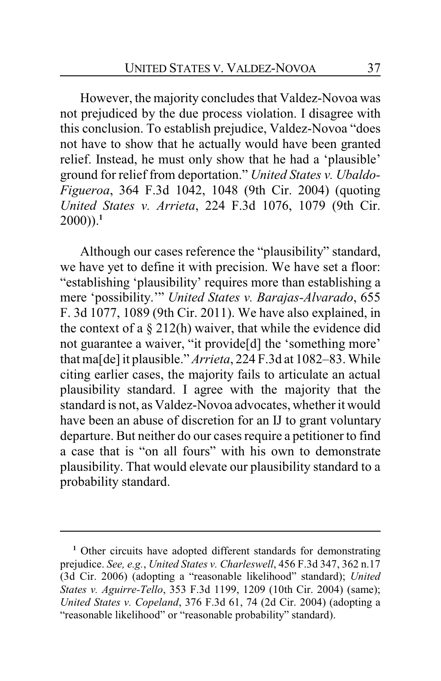However, the majority concludes that Valdez-Novoa was not prejudiced by the due process violation. I disagree with this conclusion. To establish prejudice, Valdez-Novoa "does not have to show that he actually would have been granted relief. Instead, he must only show that he had a 'plausible' ground for relief from deportation." *United States v. Ubaldo-Figueroa*, 364 F.3d 1042, 1048 (9th Cir. 2004) (quoting *United States v. Arrieta*, 224 F.3d 1076, 1079 (9th Cir.  $2000$ )).<sup>1</sup>

Although our cases reference the "plausibility" standard, we have yet to define it with precision. We have set a floor: "establishing 'plausibility' requires more than establishing a mere 'possibility.'" *United States v. Barajas-Alvarado*, 655 F. 3d 1077, 1089 (9th Cir. 2011). We have also explained, in the context of a  $\S 212(h)$  waiver, that while the evidence did not guarantee a waiver, "it provide[d] the 'something more' that ma[de]it plausible." *Arrieta*, 224 F.3d at 1082–83. While citing earlier cases, the majority fails to articulate an actual plausibility standard. I agree with the majority that the standard is not, as Valdez-Novoa advocates, whether it would have been an abuse of discretion for an IJ to grant voluntary departure. But neither do our cases require a petitioner to find a case that is "on all fours" with his own to demonstrate plausibility. That would elevate our plausibility standard to a probability standard.

<sup>&</sup>lt;sup>1</sup> Other circuits have adopted different standards for demonstrating prejudice. *See, e.g.*, *United States v. Charleswell*, 456 F.3d 347, 362 n.17 (3d Cir. 2006) (adopting a "reasonable likelihood" standard); *United States v. Aguirre-Tello*, 353 F.3d 1199, 1209 (10th Cir. 2004) (same); *United States v. Copeland*, 376 F.3d 61, 74 (2d Cir. 2004) (adopting a "reasonable likelihood" or "reasonable probability" standard).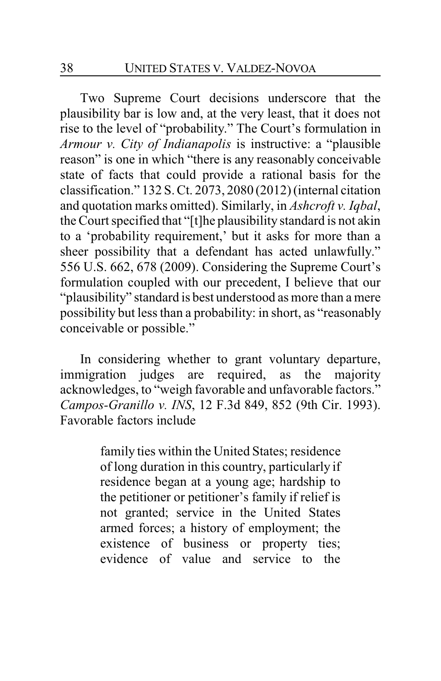Two Supreme Court decisions underscore that the plausibility bar is low and, at the very least, that it does not rise to the level of "probability." The Court's formulation in *Armour v. City of Indianapolis* is instructive: a "plausible reason" is one in which "there is any reasonably conceivable state of facts that could provide a rational basis for the classification." 132 S. Ct. 2073, 2080 (2012) (internal citation and quotation marks omitted). Similarly, in *Ashcroft v. Iqbal*, the Court specified that "[t]he plausibility standard is not akin to a 'probability requirement,' but it asks for more than a sheer possibility that a defendant has acted unlawfully." 556 U.S. 662, 678 (2009). Considering the Supreme Court's formulation coupled with our precedent, I believe that our "plausibility" standard is best understood as more than a mere possibility but less than a probability: in short, as "reasonably conceivable or possible."

In considering whether to grant voluntary departure, immigration judges are required, as the majority acknowledges, to "weigh favorable and unfavorable factors." *Campos-Granillo v. INS*, 12 F.3d 849, 852 (9th Cir. 1993). Favorable factors include

> family ties within the United States; residence of long duration in this country, particularly if residence began at a young age; hardship to the petitioner or petitioner's family if relief is not granted; service in the United States armed forces; a history of employment; the existence of business or property ties; evidence of value and service to the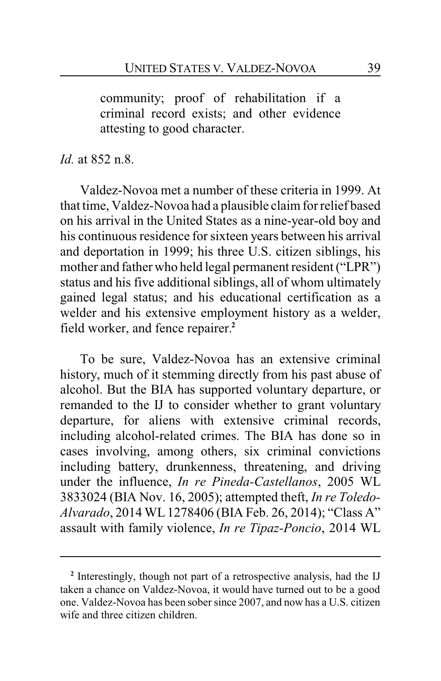community; proof of rehabilitation if a criminal record exists; and other evidence attesting to good character.

*Id.* at 852 n.8.

Valdez-Novoa met a number of these criteria in 1999. At that time, Valdez-Novoa had a plausible claim for relief based on his arrival in the United States as a nine-year-old boy and his continuous residence for sixteen years between his arrival and deportation in 1999; his three U.S. citizen siblings, his mother and father who held legal permanent resident ("LPR") status and his five additional siblings, all of whom ultimately gained legal status; and his educational certification as a welder and his extensive employment history as a welder, field worker, and fence repairer.**<sup>2</sup>**

To be sure, Valdez-Novoa has an extensive criminal history, much of it stemming directly from his past abuse of alcohol. But the BIA has supported voluntary departure, or remanded to the IJ to consider whether to grant voluntary departure, for aliens with extensive criminal records, including alcohol-related crimes. The BIA has done so in cases involving, among others, six criminal convictions including battery, drunkenness, threatening, and driving under the influence, *In re Pineda-Castellanos*, 2005 WL 3833024 (BIA Nov. 16, 2005); attempted theft, *In re Toledo-Alvarado*, 2014 WL1278406 (BIA Feb. 26, 2014); "Class A" assault with family violence, *In re Tipaz-Poncio*, 2014 WL

**<sup>2</sup>** Interestingly, though not part of a retrospective analysis, had the IJ taken a chance on Valdez-Novoa, it would have turned out to be a good one. Valdez-Novoa has been sober since 2007, and now has a U.S. citizen wife and three citizen children.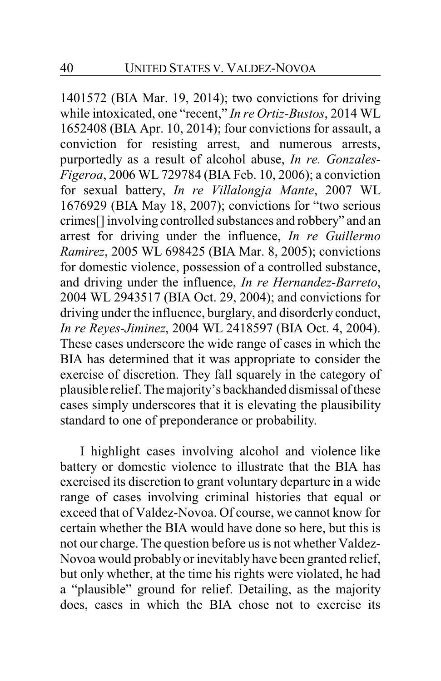1401572 (BIA Mar. 19, 2014); two convictions for driving while intoxicated, one "recent," *In re Ortiz-Bustos*, 2014 WL 1652408 (BIA Apr. 10, 2014); four convictions for assault, a conviction for resisting arrest, and numerous arrests, purportedly as a result of alcohol abuse, *In re. Gonzales-Figeroa*, 2006 WL 729784 (BIA Feb. 10, 2006); a conviction for sexual battery, *In re Villalongja Mante*, 2007 WL 1676929 (BIA May 18, 2007); convictions for "two serious crimes[] involving controlled substances and robbery" and an arrest for driving under the influence, *In re Guillermo Ramirez*, 2005 WL 698425 (BIA Mar. 8, 2005); convictions for domestic violence, possession of a controlled substance, and driving under the influence, *In re Hernandez-Barreto*, 2004 WL 2943517 (BIA Oct. 29, 2004); and convictions for driving under the influence, burglary, and disorderly conduct, *In re Reyes-Jiminez*, 2004 WL 2418597 (BIA Oct. 4, 2004). These cases underscore the wide range of cases in which the BIA has determined that it was appropriate to consider the exercise of discretion. They fall squarely in the category of plausible relief. The majority's backhanded dismissal of these cases simply underscores that it is elevating the plausibility standard to one of preponderance or probability.

I highlight cases involving alcohol and violence like battery or domestic violence to illustrate that the BIA has exercised its discretion to grant voluntary departure in a wide range of cases involving criminal histories that equal or exceed that of Valdez-Novoa. Of course, we cannot know for certain whether the BIA would have done so here, but this is not our charge. The question before us is not whether Valdez-Novoa would probably or inevitably have been granted relief, but only whether, at the time his rights were violated, he had a "plausible" ground for relief. Detailing, as the majority does, cases in which the BIA chose not to exercise its